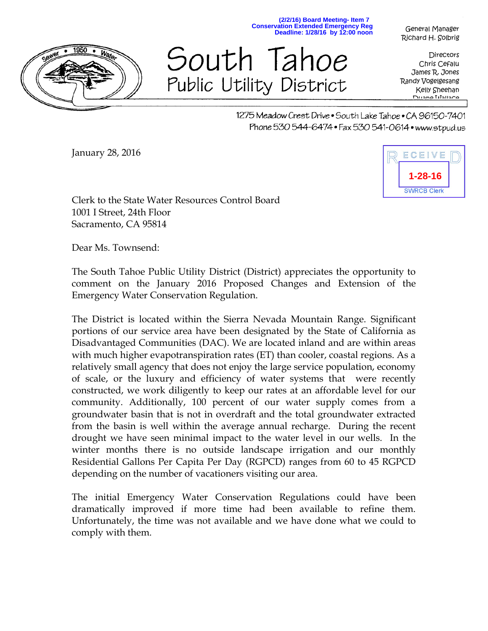

**Deadline: 1/28/16 by 12:00 noon** South Tahoe

Public Utility District

General Manager Richard H. Solbrig

**Directors** Chris Cefalu James R. Jones Randy Vogelgesang Kelly Sheehan Duane Wallace

1275 Meadow Crest Drive • South Lake Tahoe • CA 96150-7401 Phone 530 544-6474 • Fax 530 541-0614 • www.stpud.us

**(2/2/16) Board Meeting- Item 7 Conservation Extended Emergency Reg**

January 28, 2016



Clerk to the State Water Resources Control Board 1001 I Street, 24th Floor Sacramento, CA 95814

Dear Ms. Townsend:

The South Tahoe Public Utility District (District) appreciates the opportunity to comment on the January 2016 Proposed Changes and Extension of the Emergency Water Conservation Regulation.

The District is located within the Sierra Nevada Mountain Range. Significant portions of our service area have been designated by the State of California as Disadvantaged Communities (DAC). We are located inland and are within areas with much higher evapotranspiration rates (ET) than cooler, coastal regions. As a relatively small agency that does not enjoy the large service population, economy of scale, or the luxury and efficiency of water systems that were recently constructed, we work diligently to keep our rates at an affordable level for our community. Additionally, 100 percent of our water supply comes from a groundwater basin that is not in overdraft and the total groundwater extracted from the basin is well within the average annual recharge. During the recent drought we have seen minimal impact to the water level in our wells. In the winter months there is no outside landscape irrigation and our monthly Residential Gallons Per Capita Per Day (RGPCD) ranges from 60 to 45 RGPCD depending on the number of vacationers visiting our area.

The initial Emergency Water Conservation Regulations could have been dramatically improved if more time had been available to refine them. Unfortunately, the time was not available and we have done what we could to comply with them.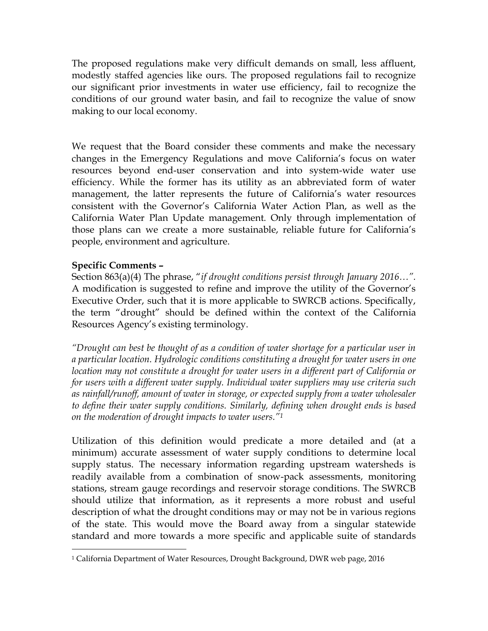The proposed regulations make very difficult demands on small, less affluent, modestly staffed agencies like ours. The proposed regulations fail to recognize our significant prior investments in water use efficiency, fail to recognize the conditions of our ground water basin, and fail to recognize the value of snow making to our local economy.

We request that the Board consider these comments and make the necessary changes in the Emergency Regulations and move California's focus on water resources beyond end-user conservation and into system-wide water use efficiency. While the former has its utility as an abbreviated form of water management, the latter represents the future of California's water resources consistent with the Governor's California Water Action Plan, as well as the California Water Plan Update management. Only through implementation of those plans can we create a more sustainable, reliable future for California's people, environment and agriculture.

### **Specific Comments –**

 $\overline{a}$ 

Section 863(a)(4) The phrase, "*if drought conditions persist through January 2016…".* A modification is suggested to refine and improve the utility of the Governor's Executive Order, such that it is more applicable to SWRCB actions. Specifically, the term "drought" should be defined within the context of the California Resources Agency's existing terminology.

*"Drought can best be thought of as a condition of water shortage for a particular user in a particular location. Hydrologic conditions constituting a drought for water users in one location may not constitute a drought for water users in a different part of California or for users with a different water supply. Individual water suppliers may use criteria such as rainfall/runoff, amount of water in storage, or expected supply from a water wholesaler to define their water supply conditions. Similarly, defining when drought ends is based on the moderation of drought impacts to water users."<sup>1</sup>*

Utilization of this definition would predicate a more detailed and (at a minimum) accurate assessment of water supply conditions to determine local supply status. The necessary information regarding upstream watersheds is readily available from a combination of snow-pack assessments, monitoring stations, stream gauge recordings and reservoir storage conditions. The SWRCB should utilize that information, as it represents a more robust and useful description of what the drought conditions may or may not be in various regions of the state. This would move the Board away from a singular statewide standard and more towards a more specific and applicable suite of standards

<sup>1</sup> California Department of Water Resources, Drought Background, DWR web page, 2016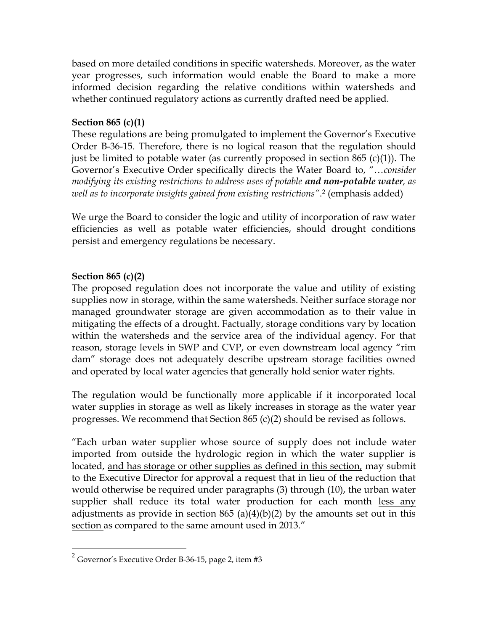based on more detailed conditions in specific watersheds. Moreover, as the water year progresses, such information would enable the Board to make a more informed decision regarding the relative conditions within watersheds and whether continued regulatory actions as currently drafted need be applied.

## **Section 865 (c)(1)**

These regulations are being promulgated to implement the Governor's Executive Order B-36-15. Therefore, there is no logical reason that the regulation should just be limited to potable water (as currently proposed in section 865 (c)(1)). The Governor's Executive Order specifically directs the Water Board to, "…*consider modifying its existing restrictions to address uses of potable and non-potable water, as well as to incorporate insights gained from existing restrictions"*. <sup>2</sup> (emphasis added)

We urge the Board to consider the logic and utility of incorporation of raw water efficiencies as well as potable water efficiencies, should drought conditions persist and emergency regulations be necessary.

# **Section 865 (c)(2)**

 $\overline{a}$ 

The proposed regulation does not incorporate the value and utility of existing supplies now in storage, within the same watersheds. Neither surface storage nor managed groundwater storage are given accommodation as to their value in mitigating the effects of a drought. Factually, storage conditions vary by location within the watersheds and the service area of the individual agency. For that reason, storage levels in SWP and CVP, or even downstream local agency "rim dam" storage does not adequately describe upstream storage facilities owned and operated by local water agencies that generally hold senior water rights.

The regulation would be functionally more applicable if it incorporated local water supplies in storage as well as likely increases in storage as the water year progresses. We recommend that Section 865 (c)(2) should be revised as follows.

"Each urban water supplier whose source of supply does not include water imported from outside the hydrologic region in which the water supplier is located, and has storage or other supplies as defined in this section, may submit to the Executive Director for approval a request that in lieu of the reduction that would otherwise be required under paragraphs (3) through (10), the urban water supplier shall reduce its total water production for each month less any adjustments as provide in section  $865$  (a)(4)(b)(2) by the amounts set out in this section as compared to the same amount used in 2013."

 $^2$  Governor's Executive Order B-36-15, page 2, item #3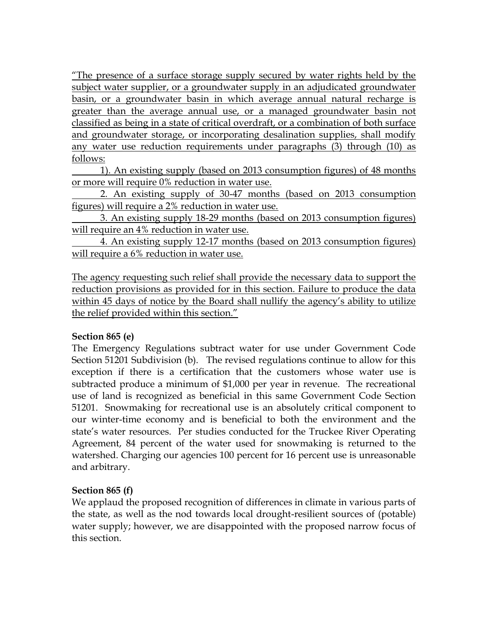"The presence of a surface storage supply secured by water rights held by the subject water supplier, or a groundwater supply in an adjudicated groundwater basin, or a groundwater basin in which average annual natural recharge is greater than the average annual use, or a managed groundwater basin not classified as being in a state of critical overdraft, or a combination of both surface and groundwater storage, or incorporating desalination supplies, shall modify any water use reduction requirements under paragraphs (3) through (10) as follows:

1). An existing supply (based on 2013 consumption figures) of 48 months or more will require 0% reduction in water use.

2. An existing supply of 30-47 months (based on 2013 consumption figures) will require a 2% reduction in water use.

3. An existing supply 18-29 months (based on 2013 consumption figures) will require an 4% reduction in water use.

4. An existing supply 12-17 months (based on 2013 consumption figures) will require a 6% reduction in water use.

The agency requesting such relief shall provide the necessary data to support the reduction provisions as provided for in this section. Failure to produce the data within 45 days of notice by the Board shall nullify the agency's ability to utilize the relief provided within this section."

### **Section 865 (e)**

The Emergency Regulations subtract water for use under Government Code Section 51201 Subdivision (b). The revised regulations continue to allow for this exception if there is a certification that the customers whose water use is subtracted produce a minimum of \$1,000 per year in revenue. The recreational use of land is recognized as beneficial in this same Government Code Section 51201. Snowmaking for recreational use is an absolutely critical component to our winter-time economy and is beneficial to both the environment and the state's water resources. Per studies conducted for the Truckee River Operating Agreement, 84 percent of the water used for snowmaking is returned to the watershed. Charging our agencies 100 percent for 16 percent use is unreasonable and arbitrary.

### **Section 865 (f)**

We applaud the proposed recognition of differences in climate in various parts of the state, as well as the nod towards local drought-resilient sources of (potable) water supply; however, we are disappointed with the proposed narrow focus of this section.